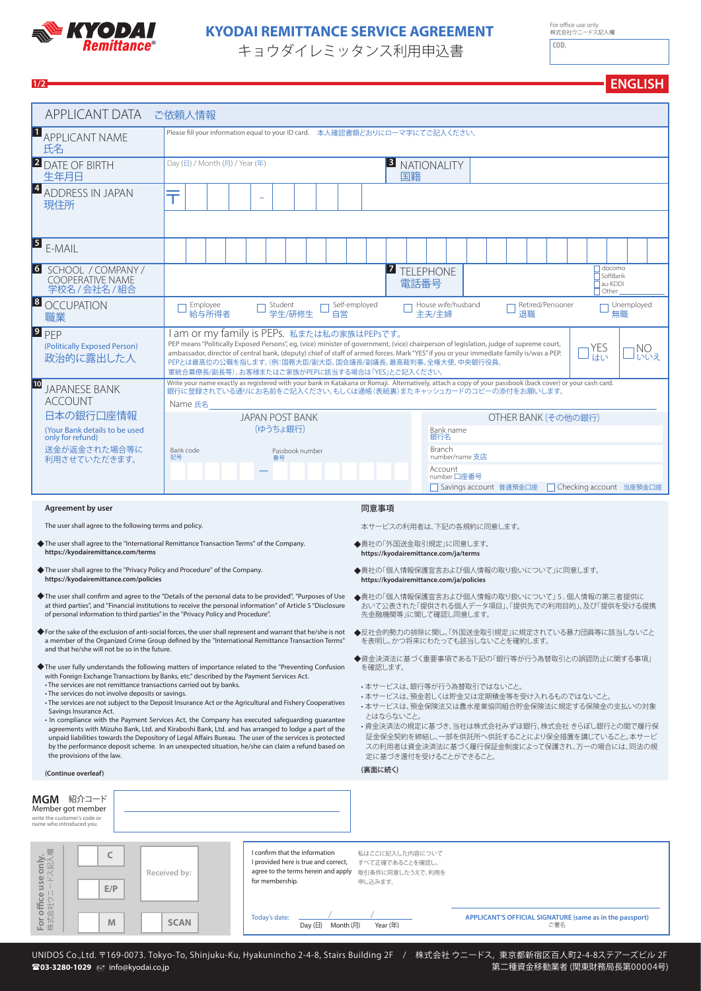

# **KYODAI** KYODAI REMITTANCE SERVICE AGREEMENT

キョウダイレミッタンス利用申込書

For oce use only. 株式会社ウニードス記入欄

**ENGLISH**

| 1/2                                                                                                                                                                                                                                                                                                                                                                                                                                                                                                                                                                                                                                                                                                                                                                                                                                                                                                                                                                                                |                                                                                                                                                                                                                                                                                                                                                                                                                                                                          |                                                                      |                                                                        |                                                                                                                                                                                                                                                                                                                                                                                    |                                                                                                                                                                                                                                                                                                                                                                               |  |                                                                                             |  |  |  |  |  |  | <b>ENGLISH</b> |
|----------------------------------------------------------------------------------------------------------------------------------------------------------------------------------------------------------------------------------------------------------------------------------------------------------------------------------------------------------------------------------------------------------------------------------------------------------------------------------------------------------------------------------------------------------------------------------------------------------------------------------------------------------------------------------------------------------------------------------------------------------------------------------------------------------------------------------------------------------------------------------------------------------------------------------------------------------------------------------------------------|--------------------------------------------------------------------------------------------------------------------------------------------------------------------------------------------------------------------------------------------------------------------------------------------------------------------------------------------------------------------------------------------------------------------------------------------------------------------------|----------------------------------------------------------------------|------------------------------------------------------------------------|------------------------------------------------------------------------------------------------------------------------------------------------------------------------------------------------------------------------------------------------------------------------------------------------------------------------------------------------------------------------------------|-------------------------------------------------------------------------------------------------------------------------------------------------------------------------------------------------------------------------------------------------------------------------------------------------------------------------------------------------------------------------------|--|---------------------------------------------------------------------------------------------|--|--|--|--|--|--|----------------|
| <b>APPLICANT DATA</b>                                                                                                                                                                                                                                                                                                                                                                                                                                                                                                                                                                                                                                                                                                                                                                                                                                                                                                                                                                              | ご依頼人情報                                                                                                                                                                                                                                                                                                                                                                                                                                                                   |                                                                      |                                                                        |                                                                                                                                                                                                                                                                                                                                                                                    |                                                                                                                                                                                                                                                                                                                                                                               |  |                                                                                             |  |  |  |  |  |  |                |
| $\mathbf{1}$<br><b>APPLICANT NAME</b><br>氏名                                                                                                                                                                                                                                                                                                                                                                                                                                                                                                                                                                                                                                                                                                                                                                                                                                                                                                                                                        | Please fill your information equal to your ID card. 本人確認書類どおりにローマ字にてご記入ください。                                                                                                                                                                                                                                                                                                                                                                                             |                                                                      |                                                                        |                                                                                                                                                                                                                                                                                                                                                                                    |                                                                                                                                                                                                                                                                                                                                                                               |  |                                                                                             |  |  |  |  |  |  |                |
| <b>2</b> DATE OF BIRTH<br>生年月日                                                                                                                                                                                                                                                                                                                                                                                                                                                                                                                                                                                                                                                                                                                                                                                                                                                                                                                                                                     | Day (日) / Month (月) / Year (年)                                                                                                                                                                                                                                                                                                                                                                                                                                           |                                                                      |                                                                        |                                                                                                                                                                                                                                                                                                                                                                                    | <b>B</b> NATIONALITY<br>国籍                                                                                                                                                                                                                                                                                                                                                    |  |                                                                                             |  |  |  |  |  |  |                |
| $\vert 4 \vert$<br><b>ADDRESS IN JAPAN</b><br>現住所                                                                                                                                                                                                                                                                                                                                                                                                                                                                                                                                                                                                                                                                                                                                                                                                                                                                                                                                                  | ╤                                                                                                                                                                                                                                                                                                                                                                                                                                                                        |                                                                      |                                                                        |                                                                                                                                                                                                                                                                                                                                                                                    |                                                                                                                                                                                                                                                                                                                                                                               |  |                                                                                             |  |  |  |  |  |  |                |
| $\sqrt{5}$<br>E-MAIL                                                                                                                                                                                                                                                                                                                                                                                                                                                                                                                                                                                                                                                                                                                                                                                                                                                                                                                                                                               |                                                                                                                                                                                                                                                                                                                                                                                                                                                                          |                                                                      |                                                                        |                                                                                                                                                                                                                                                                                                                                                                                    |                                                                                                                                                                                                                                                                                                                                                                               |  |                                                                                             |  |  |  |  |  |  |                |
| 6  <br>SCHOOL / COMPANY /<br>COOPERATIVE NAME<br>学校名 / 会社名 / 組合                                                                                                                                                                                                                                                                                                                                                                                                                                                                                                                                                                                                                                                                                                                                                                                                                                                                                                                                    |                                                                                                                                                                                                                                                                                                                                                                                                                                                                          | docomo<br><b>7</b> TELEPHONE<br>SoftBank<br>電話番号<br>au-KDDI<br>Other |                                                                        |                                                                                                                                                                                                                                                                                                                                                                                    |                                                                                                                                                                                                                                                                                                                                                                               |  |                                                                                             |  |  |  |  |  |  |                |
| 8 <br><b>OCCUPATION</b><br>職業                                                                                                                                                                                                                                                                                                                                                                                                                                                                                                                                                                                                                                                                                                                                                                                                                                                                                                                                                                      | Employee                                                                                                                                                                                                                                                                                                                                                                                                                                                                 | Student<br>給与所得者<br>学生/研修生<br>自営                                     |                                                                        |                                                                                                                                                                                                                                                                                                                                                                                    |                                                                                                                                                                                                                                                                                                                                                                               |  | Self-employed<br>House wife/husband<br>Retired/Pensioner<br>Unemployed<br>主夫/主婦<br>退職<br>無職 |  |  |  |  |  |  |                |
| $P$ <sub>PEP</sub><br>(Politically Exposed Person)<br>政治的に露出した人                                                                                                                                                                                                                                                                                                                                                                                                                                                                                                                                                                                                                                                                                                                                                                                                                                                                                                                                    | am or my family is PEPs. 私または私の家族はPEPsです。<br>PEP means "Politically Exposed Persons", eg, (vice) minister of government, (vice) chairperson of legislation, judge of supreme court,<br>YES<br>NO<br>ambassador, director of central bank, (deputy) chief of staff of armed forces. Mark "YES" if you or your immediate family is/was a PEP.<br>はい<br>」いいえ<br>PEPとは最高位の公職を指します。(例:国務大臣/副大臣、国会議長/副議長、最高裁判事、全権大使、中央銀行役員、<br>軍統合幕僚長/副長等)。お客様またはご家族がPEPに該当する場合は「YES」とご記入ください。 |                                                                      |                                                                        |                                                                                                                                                                                                                                                                                                                                                                                    |                                                                                                                                                                                                                                                                                                                                                                               |  |                                                                                             |  |  |  |  |  |  |                |
| 10<br><b>JAPANESE BANK</b><br><b>ACCOUNT</b><br>Name 氏名<br>日本の銀行口座情報<br><b>JAPAN POST BANK</b><br>(ゆうちょ銀行)<br>(Your Bank details to be used<br>only for refund)<br>送金が返金された場合等に<br>Bank code<br>Passbook number<br>記号<br>利用させていただきます。<br>番号                                                                                                                                                                                                                                                                                                                                                                                                                                                                                                                                                                                                                                                                                                                                                        |                                                                                                                                                                                                                                                                                                                                                                                                                                                                          |                                                                      |                                                                        | Write your name exactly as registered with your bank in Katakana or Romaji. Alternatively, attach a copy of your passbook (back cover) or your cash card.<br>銀行に登録されている通りにお名前をご記入ください。もしくは通帳(表紙裏)またキャッシュカードのコピーの添付をお願いします。<br>OTHER BANK (その他の銀行)<br>Bank name<br>銀行名<br>Branch<br>number/name 支店<br>Account<br>number 口座番号<br>Savings account 普通預金口座<br>□ Checking account 当座預金口座 |                                                                                                                                                                                                                                                                                                                                                                               |  |                                                                                             |  |  |  |  |  |  |                |
| Agreement by user                                                                                                                                                                                                                                                                                                                                                                                                                                                                                                                                                                                                                                                                                                                                                                                                                                                                                                                                                                                  |                                                                                                                                                                                                                                                                                                                                                                                                                                                                          |                                                                      |                                                                        | 同意事項                                                                                                                                                                                                                                                                                                                                                                               |                                                                                                                                                                                                                                                                                                                                                                               |  |                                                                                             |  |  |  |  |  |  |                |
| The user shall agree to the following terms and policy.                                                                                                                                                                                                                                                                                                                                                                                                                                                                                                                                                                                                                                                                                                                                                                                                                                                                                                                                            |                                                                                                                                                                                                                                                                                                                                                                                                                                                                          |                                                                      |                                                                        |                                                                                                                                                                                                                                                                                                                                                                                    | 本サービスの利用者は、下記の各規約に同意します。                                                                                                                                                                                                                                                                                                                                                      |  |                                                                                             |  |  |  |  |  |  |                |
| ◆ The user shall agree to the "International Remittance Transaction Terms" of the Company.<br>https://kyodairemittance.com/terms                                                                                                                                                                                                                                                                                                                                                                                                                                                                                                                                                                                                                                                                                                                                                                                                                                                                   |                                                                                                                                                                                                                                                                                                                                                                                                                                                                          |                                                                      |                                                                        |                                                                                                                                                                                                                                                                                                                                                                                    | ◆貴社の「外国送金取引規定」に同意します。<br>https://kyodairemittance.com/ja/terms                                                                                                                                                                                                                                                                                                                |  |                                                                                             |  |  |  |  |  |  |                |
| The user shall agree to the "Privacy Policy and Procedure" of the Company.<br>https://kyodairemittance.com/policies                                                                                                                                                                                                                                                                                                                                                                                                                                                                                                                                                                                                                                                                                                                                                                                                                                                                                |                                                                                                                                                                                                                                                                                                                                                                                                                                                                          |                                                                      |                                                                        |                                                                                                                                                                                                                                                                                                                                                                                    | ◆貴社の「個人情報保護宣言および個人情報の取り扱いについて」に同意します。<br>https://kyodairemittance.com/ja/policies                                                                                                                                                                                                                                                                                             |  |                                                                                             |  |  |  |  |  |  |                |
| ◆The user shall confirm and agree to the "Details of the personal data to be provided", "Purposes of Use ◆貴社の「個人情報保護宣言および個人情報の取り扱いについて」5.個人情報の第三者提供に<br>at third parties", and "Financial institutions to receive the personal information" of Article 5 "Disclosure<br>of personal information to third parties" in the "Privacy Policy and Procedure".                                                                                                                                                                                                                                                                                                                                                                                                                                                                                                                                                                                                                                           |                                                                                                                                                                                                                                                                                                                                                                                                                                                                          |                                                                      |                                                                        |                                                                                                                                                                                                                                                                                                                                                                                    | おいて公表された「提供される個人データ項目」、「提供先での利用目的」、及び「提供を受ける提携<br>先金融機関等」に関して確認し同意します。                                                                                                                                                                                                                                                                                                        |  |                                                                                             |  |  |  |  |  |  |                |
| For the sake of the exclusion of anti-social forces, the user shall represent and warrant that he/she is not<br>a member of the Organized Crime Group defined by the "International Remittance Transaction Terms"                                                                                                                                                                                                                                                                                                                                                                                                                                                                                                                                                                                                                                                                                                                                                                                  |                                                                                                                                                                                                                                                                                                                                                                                                                                                                          |                                                                      |                                                                        |                                                                                                                                                                                                                                                                                                                                                                                    | ◆反社会的勢力の排除に関し、「外国送金取引規定」に規定されている暴力団員等に該当しないこと<br>を表明し、かつ将来にわたっても該当しないことを確約します。                                                                                                                                                                                                                                                                                                |  |                                                                                             |  |  |  |  |  |  |                |
| and that he/she will not be so in the future.<br>The user fully understands the following matters of importance related to the "Preventing Confusion"<br>with Foreign Exchange Transactions by Banks, etc." described by the Payment Services Act.<br>• The services are not remittance transactions carried out by banks.<br>• The services do not involve deposits or savings.<br>• The services are not subject to the Deposit Insurance Act or the Agricultural and Fishery Cooperatives<br>Savings Insurance Act.<br>In compliance with the Payment Services Act, the Company has executed safeguarding guarantee<br>agreements with Mizuho Bank, Ltd. and Kiraboshi Bank, Ltd. and has arranged to lodge a part of the<br>unpaid liabilities towards the Depository of Legal Affairs Bureau. The user of the services is protected<br>by the performance deposit scheme. In an unexpected situation, he/she can claim a refund based on<br>the provisions of the law.<br>(Continue overleaf) |                                                                                                                                                                                                                                                                                                                                                                                                                                                                          |                                                                      |                                                                        |                                                                                                                                                                                                                                                                                                                                                                                    | ◆資金決済法に基づく重要事項である下記の「銀行等が行う為替取引との誤認防止に関する事項」<br>を確認します。<br>・本サービスは、銀行等が行う為替取引ではないこと。<br>・本サービスは、預金若しくは貯金又は定期積金等を受け入れるものではないこと。<br>•本サービスは、預金保険法又は農水産業協同組合貯金保険法に規定する保険金の支払いの対象<br>とはならないこと。<br>・資金決済法の規定に基づき、当社は株式会社みずほ銀行、株式会社 きらぼし銀行との間で履行保<br>証金保全契約を締結し、一部を供託所へ供託することにより保全措置を講じていること。本サービ<br>スの利用者は資金決済法に基づく履行保証金制度によって保護され、万一の場合には、同法の規<br>定に基づき還付を受けることができること。<br>(裏面に続く) |  |                                                                                             |  |  |  |  |  |  |                |
|                                                                                                                                                                                                                                                                                                                                                                                                                                                                                                                                                                                                                                                                                                                                                                                                                                                                                                                                                                                                    |                                                                                                                                                                                                                                                                                                                                                                                                                                                                          |                                                                      |                                                                        |                                                                                                                                                                                                                                                                                                                                                                                    |                                                                                                                                                                                                                                                                                                                                                                               |  |                                                                                             |  |  |  |  |  |  |                |
| MGM 紹介コード<br>Member got member<br>write the customer's code or<br>name who introduced you.                                                                                                                                                                                                                                                                                                                                                                                                                                                                                                                                                                                                                                                                                                                                                                                                                                                                                                         |                                                                                                                                                                                                                                                                                                                                                                                                                                                                          |                                                                      |                                                                        |                                                                                                                                                                                                                                                                                                                                                                                    |                                                                                                                                                                                                                                                                                                                                                                               |  |                                                                                             |  |  |  |  |  |  |                |
| C                                                                                                                                                                                                                                                                                                                                                                                                                                                                                                                                                                                                                                                                                                                                                                                                                                                                                                                                                                                                  |                                                                                                                                                                                                                                                                                                                                                                                                                                                                          |                                                                      | I confirm that the information<br>I provided here is true and correct, |                                                                                                                                                                                                                                                                                                                                                                                    | 私はここに記入した内容について<br>すべて正確であることを確認し、                                                                                                                                                                                                                                                                                                                                            |  |                                                                                             |  |  |  |  |  |  |                |

| ·only.<br><sub>ス記入欄</sub><br>$rac{9}{5}$ | ∼<br>E/P | Received by: | I confirm that the information<br>I provided here is true and correct,<br>agree to the terms herein and apply 取引条件に同意したうえで、利用を<br>for membership. | 私はここに記入した内容について<br>すべて正確であることを確認し、<br>申し込みます。 |                                                                 |
|------------------------------------------|----------|--------------|---------------------------------------------------------------------------------------------------------------------------------------------------|-----------------------------------------------|-----------------------------------------------------------------|
| For office<br><sub>株式会社ウニ</sub>          | M        | <b>SCAN</b>  | Today's date:<br>Day (B)<br>Month (月)                                                                                                             | Year (年)                                      | APPLICANT'S OFFICIAL SIGNATURE (same as in the passport)<br>ご署名 |